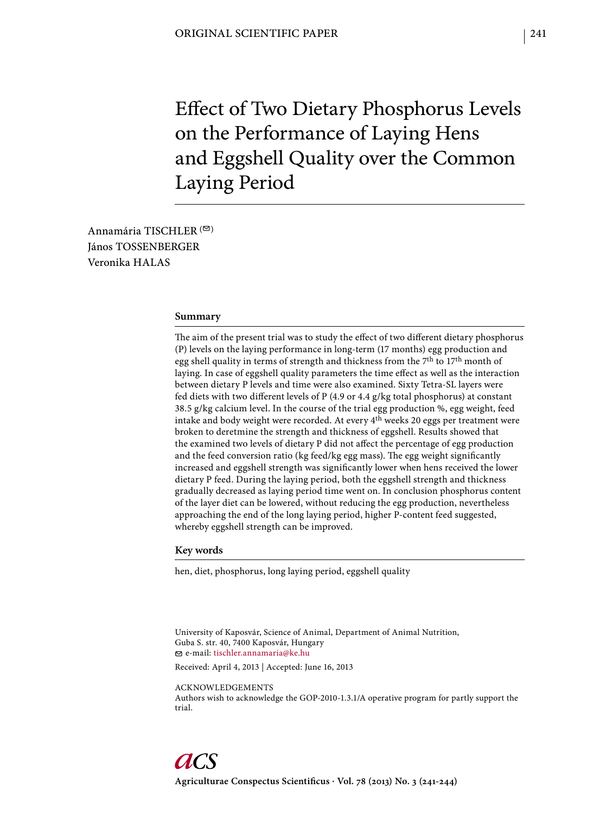Effect of Two Dietary Phosphorus Levels on the Performance of Laying Hens and Eggshell Quality over the Common Laying Period

Annamária TISCHLER  $($ János TOSSENBERGER Veronika HALAS

### **Summary**

The aim of the present trial was to study the effect of two different dietary phosphorus (P) levels on the laying performance in long-term (17 months) egg production and egg shell quality in terms of strength and thickness from the 7th to 17th month of laying. In case of eggshell quality parameters the time effect as well as the interaction between dietary P levels and time were also examined. Sixty Tetra-SL layers were fed diets with two different levels of P (4.9 or 4.4 g/kg total phosphorus) at constant 38.5 g/kg calcium level. In the course of the trial egg production %, egg weight, feed intake and body weight were recorded. At every 4th weeks 20 eggs per treatment were broken to deretmine the strength and thickness of eggshell. Results showed that the examined two levels of dietary P did not affect the percentage of egg production and the feed conversion ratio (kg feed/kg egg mass). The egg weight significantly increased and eggshell strength was significantly lower when hens received the lower dietary P feed. During the laying period, both the eggshell strength and thickness gradually decreased as laying period time went on. In conclusion phosphorus content of the layer diet can be lowered, without reducing the egg production, nevertheless approaching the end of the long laying period, higher P-content feed suggested, whereby eggshell strength can be improved.

# **Key words**

hen, diet, phosphorus, long laying period, eggshell quality

University of Kaposvár, Science of Animal, Department of Animal Nutrition, Guba S. str. 40, 7400 Kaposvár, Hungary e-mail: tischler.annamaria@ke.hu

Received: April 4, 2013 | Accepted: June 16, 2013

ACKNOWLEDGEMENTS

Authors wish to acknowledge the GOP-2010-1.3.1/A operative program for partly support the trial.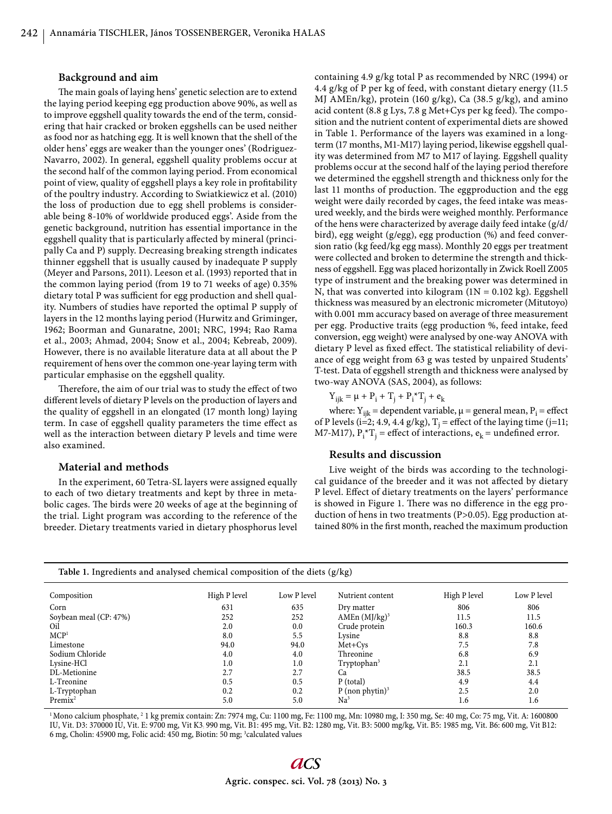### **Background and aim**

The main goals of laying hens' genetic selection are to extend the laying period keeping egg production above 90%, as well as to improve eggshell quality towards the end of the term, considering that hair cracked or broken eggshells can be used neither as food nor as hatching egg. It is well known that the shell of the older hens' eggs are weaker than the younger ones' (Rodriguez-Navarro, 2002). In general, eggshell quality problems occur at the second half of the common laying period. From economical point of view, quality of eggshell plays a key role in profitability of the poultry industry. According to Swiatkiewicz et al. (2010) the loss of production due to egg shell problems is considerable being 8-10% of worldwide produced eggs'. Aside from the genetic background, nutrition has essential importance in the eggshell quality that is particularly affected by mineral (principally Ca and P) supply. Decreasing breaking strength indicates thinner eggshell that is usually caused by inadequate P supply (Meyer and Parsons, 2011). Leeson et al. (1993) reported that in the common laying period (from 19 to 71 weeks of age) 0.35% dietary total P was sufficient for egg production and shell quality. Numbers of studies have reported the optimal P supply of layers in the 12 months laying period (Hurwitz and Griminger, 1962; Boorman and Gunaratne, 2001; NRC, 1994; Rao Rama et al., 2003; Ahmad, 2004; Snow et al., 2004; Kebreab, 2009). However, there is no available literature data at all about the P requirement of hens over the common one-year laying term with particular emphasise on the eggshell quality.

Therefore, the aim of our trial was to study the effect of two different levels of dietary P levels on the production of layers and the quality of eggshell in an elongated (17 month long) laying term. In case of eggshell quality parameters the time effect as well as the interaction between dietary P levels and time were also examined.

## **Material and methods**

In the experiment, 60 Tetra-SL layers were assigned equally to each of two dietary treatments and kept by three in metabolic cages. The birds were 20 weeks of age at the beginning of the trial. Light program was according to the reference of the breeder. Dietary treatments varied in dietary phosphorus level

containing 4.9 g/kg total P as recommended by NRC (1994) or 4.4 g/kg of P per kg of feed, with constant dietary energy (11.5 MJ AMEn/kg), protein (160 g/kg), Ca (38.5 g/kg), and amino acid content  $(8.8 \text{ g Lys}, 7.8 \text{ g Met+Cys per kg feed})$ . The composition and the nutrient content of experimental diets are showed in Table 1. Performance of the layers was examined in a longterm (17 months, M1-M17) laying period, likewise eggshell quality was determined from M7 to M17 of laying. Eggshell quality problems occur at the second half of the laying period therefore we determined the eggshell strength and thickness only for the last 11 months of production. The eggproduction and the egg weight were daily recorded by cages, the feed intake was measured weekly, and the birds were weighed monthly. Performance of the hens were characterized by average daily feed intake (g/d/ bird), egg weight (g/egg), egg production (%) and feed conversion ratio (kg feed/kg egg mass). Monthly 20 eggs per treatment were collected and broken to determine the strength and thickness of eggshell. Egg was placed horizontally in Zwick Roell Z005 type of instrument and the breaking power was determined in N, that was converted into kilogram  $(1N = 0.102 \text{ kg})$ . Eggshell thickness was measured by an electronic micrometer (Mitutoyo) with 0.001 mm accuracy based on average of three measurement per egg. Productive traits (egg production %, feed intake, feed conversion, egg weight) were analysed by one-way ANOVA with dietary P level as fixed effect. The statistical reliability of deviance of egg weight from 63 g was tested by unpaired Students' T-test. Data of eggshell strength and thickness were analysed by two-way ANOVA (SAS, 2004), as follows:

$$
Y_{ijk} = \mu + P_i + T_j + P_i^*T_j + e_k
$$

where:  $Y_{ijk}$  = dependent variable,  $\mu$  = general mean,  $P_i$  = effect of P levels (i=2; 4.9, 4.4 g/kg),  $T_j$  = effect of the laying time (j=11; M7-M17),  $P_i^*T_j$  = effect of interactions,  $e_k$  = undefined error.

#### **Results and discussion**

Live weight of the birds was according to the technological guidance of the breeder and it was not affected by dietary P level. Effect of dietary treatments on the layers' performance is showed in Figure 1. There was no difference in the egg production of hens in two treatments (P>0.05). Egg production attained 80% in the first month, reached the maximum production

| Table 1. Ingredients and analysed chemical composition of the diets (g/kg) |              |             |                             |              |             |  |  |
|----------------------------------------------------------------------------|--------------|-------------|-----------------------------|--------------|-------------|--|--|
| Composition                                                                | High P level | Low P level | Nutrient content            | High P level | Low P level |  |  |
| Corn                                                                       | 631          | 635         | Dry matter                  | 806          | 806         |  |  |
| Soybean meal (CP: 47%)                                                     | 252          | 252         | AMEn $(MJ/kg)^3$            | 11.5         | 11.5        |  |  |
| Oil                                                                        | 2.0          | 0.0         | Crude protein               | 160.3        | 160.6       |  |  |
| MCP <sup>1</sup>                                                           | 8.0          | 5.5         | Lysine                      | 8.8          | 8.8         |  |  |
| Limestone                                                                  | 94.0         | 94.0        | Met+Cvs                     | 7.5          | 7.8         |  |  |
| Sodium Chloride                                                            | 4.0          | 4.0         | Threonine                   | 6.8          | 6.9         |  |  |
| Lysine-HCl                                                                 | 1.0          | 1.0         | $T$ ryptophan $3$           | 2.1          | 2.1         |  |  |
| DL-Metionine                                                               | 2.7          | 2.7         | Ca                          | 38.5         | 38.5        |  |  |
| L-Treonine                                                                 | 0.5          | 0.5         | P (total)                   | 4.9          | 4.4         |  |  |
| L-Tryptophan                                                               | 0.2          | 0.2         | P (non phytin) <sup>3</sup> | 2.5          | 2.0         |  |  |
| $Premix^2$                                                                 | 5.0          | 5.0         | Na <sup>3</sup>             | 1.6          | 1.6         |  |  |

<sup>1</sup> Mono calcium phosphate, <sup>2</sup> 1 kg premix contain: Zn: 7974 mg, Cu: 1100 mg, Fe: 1100 mg, Mn: 10980 mg, I: 350 mg, Se: 40 mg, Co: 75 mg, Vit. A: 1600800 IU, Vit. D3: 370000 IU, Vit. E: 9700 mg, Vit K3: 990 mg, Vit. B1: 495 mg, Vit. B2: 1280 mg, Vit. B3: 5000 mg/kg, Vit. B5: 1985 mg, Vit. B6: 600 mg, Vit B12: 6 mg, Cholin: 45900 mg, Folic acid: 450 mg, Biotin: 50 mg; <sup>3</sup>calculated values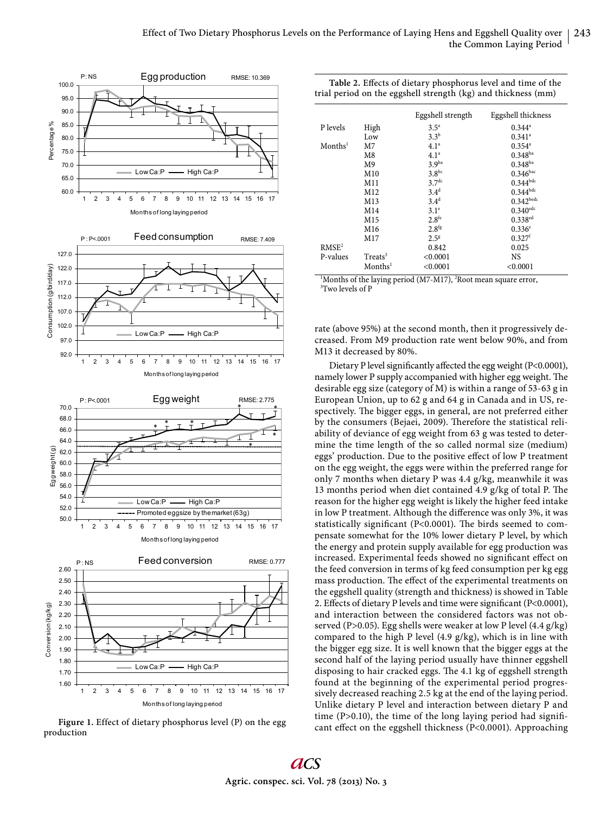

**Figure 1.** Effect of dietary phosphorus level (P) on the egg production

| Table 2. Effects of dietary phosphorus level and time of the<br>trial period on the eggshell strength (kg) and thickness (mm) |                     |                   |                        |  |  |  |
|-------------------------------------------------------------------------------------------------------------------------------|---------------------|-------------------|------------------------|--|--|--|
|                                                                                                                               |                     | Eggshell strength | Eggshell thickness     |  |  |  |
| P levels                                                                                                                      | High                | $3.5^{\circ}$     | $0.344^a$              |  |  |  |
|                                                                                                                               | Low                 | $3.3^{b}$         | $0.341$ <sup>a</sup>   |  |  |  |
| Months <sup>1</sup>                                                                                                           | M7                  | 4.1 <sup>a</sup>  | $0.354^{\circ}$        |  |  |  |
|                                                                                                                               | M8                  | 4.1 <sup>a</sup>  | $0.348^{ba}$           |  |  |  |
|                                                                                                                               | M9                  | 3.9 <sup>ba</sup> | $0.348^{ba}$           |  |  |  |
|                                                                                                                               | M10                 | $3.8^{bc}$        | 0.346 <sup>bac</sup>   |  |  |  |
|                                                                                                                               | M11                 | 3.7 <sup>dc</sup> | $0.344^{bdc}$          |  |  |  |
|                                                                                                                               | M12                 | 3.4 <sup>d</sup>  | $0.344^{bdc}$          |  |  |  |
|                                                                                                                               | M13                 | $3.4^d$           | $0.342$ bedc           |  |  |  |
|                                                                                                                               | M14                 | 3.1 <sup>e</sup>  | $0.340$ <sup>edc</sup> |  |  |  |
|                                                                                                                               | M15                 | 2.8 <sup>fe</sup> | $0.338$ <sup>ed</sup>  |  |  |  |
|                                                                                                                               | M16                 | 2.8 <sup>fg</sup> | $0.336^{\circ}$        |  |  |  |
|                                                                                                                               | M17                 | $2.5^{8}$         | 0.327 <sup>f</sup>     |  |  |  |
| RMSE <sup>2</sup>                                                                                                             |                     | 0.842             | 0.025                  |  |  |  |
| P-values                                                                                                                      | Treats <sup>3</sup> | < 0.0001          | NS                     |  |  |  |
|                                                                                                                               | Months <sup>1</sup> | < 0.0001          | < 0.0001               |  |  |  |

<sup>1</sup>Months of the laying period (M7-M17), <sup>2</sup>Root mean square error,  $3$ <sup>T</sup>WO levels of P <sup>3</sup>Two levels of P

rate (above 95%) at the second month, then it progressively decreased. From M9 production rate went below 90%, and from M13 it decreased by 80%.

Dietary P level significantly affected the egg weight (P<0.0001), namely lower P supply accompanied with higher egg weight. The desirable egg size (category of M) is within a range of 53-63 g in European Union, up to 62 g and 64 g in Canada and in US, respectively. The bigger eggs, in general, are not preferred either by the consumers (Bejaei, 2009). Therefore the statistical reliability of deviance of egg weight from 63 g was tested to determine the time length of the so called normal size (medium) eggs' production. Due to the positive effect of low P treatment on the egg weight, the eggs were within the preferred range for only 7 months when dietary P was 4.4 g/kg, meanwhile it was 13 months period when diet contained 4.9  $g/kg$  of total P. The reason for the higher egg weight is likely the higher feed intake in low P treatment. Although the difference was only 3%, it was statistically significant (P<0.0001). The birds seemed to compensate somewhat for the 10% lower dietary P level, by which the energy and protein supply available for egg production was increased. Experimental feeds showed no significant effect on the feed conversion in terms of kg feed consumption per kg egg mass production. The effect of the experimental treatments on the eggshell quality (strength and thickness) is showed in Table 2. Effects of dietary P levels and time were significant (P<0.0001), and interaction between the considered factors was not observed (P>0.05). Egg shells were weaker at low P level (4.4 g/kg) compared to the high P level (4.9 g/kg), which is in line with the bigger egg size. It is well known that the bigger eggs at the second half of the laying period usually have thinner eggshell disposing to hair cracked eggs. The 4.1 kg of eggshell strength found at the beginning of the experimental period progressively decreased reaching 2.5 kg at the end of the laying period. Unlike dietary P level and interaction between dietary P and time  $(P>0.10)$ , the time of the long laying period had significant effect on the eggshell thickness (P<0.0001). Approaching